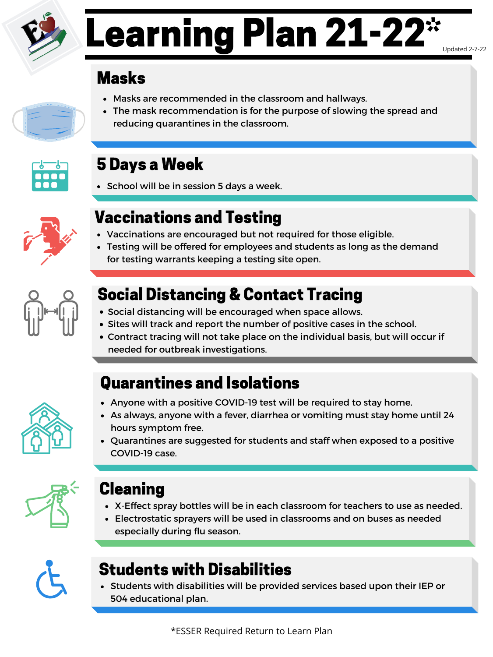### Masks

- Masks are recommended in the classroom and hallways.
- The mask recommendation is for the purpose of slowing the spread and reducing quarantines in the classroom.



## 5 Days a Week

• School will be in session 5 days a week.



## Vaccinations and Testing

- Vaccinations are encouraged but not required for those eligible.
- Testing will be offered for employees and students as long as the demand for testing warrants keeping a testing site open.



## Social Distancing & Contact Tracing

- Social distancing will be encouraged when space allows.
- Sites will track and report the number of positive cases in the school.
- Contract tracing will not take place on the individual basis, but will occur if



# Learning Plan 21-22\* Updated 2-7-22

needed for outbreak investigations.

### Quarantines and Isolations

- Anyone with a positive COVID-19 test will be required to stay home.
- As always, anyone with a fever, diarrhea or vomiting must stay home until 24 hours symptom free.
- Quarantines are suggested for students and staff when exposed to a positive COVID-19 case.



- X-Effect spray bottles will be in each classroom for teachers to use as needed.
- Electrostatic sprayers will be used in classrooms and on buses as needed especially during flu season.



#### Cleaning

## Students with Disabilities

Students with disabilities will be provided services based upon their IEP or 504 educational plan.

\*ESSER Required Return to Learn Plan